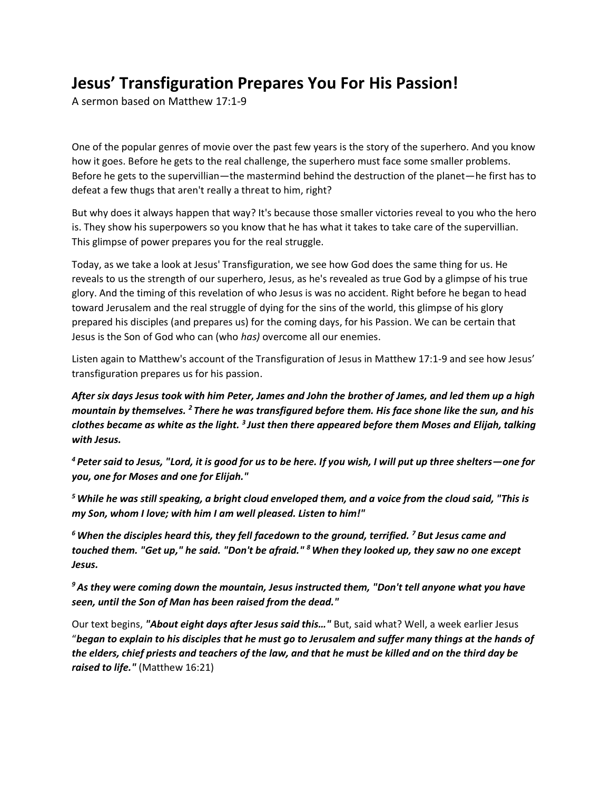## **Jesus' Transfiguration Prepares You For His Passion!**

A sermon based on Matthew 17:1-9

One of the popular genres of movie over the past few years is the story of the superhero. And you know how it goes. Before he gets to the real challenge, the superhero must face some smaller problems. Before he gets to the supervillian—the mastermind behind the destruction of the planet—he first has to defeat a few thugs that aren't really a threat to him, right?

But why does it always happen that way? It's because those smaller victories reveal to you who the hero is. They show his superpowers so you know that he has what it takes to take care of the supervillian. This glimpse of power prepares you for the real struggle.

Today, as we take a look at Jesus' Transfiguration, we see how God does the same thing for us. He reveals to us the strength of our superhero, Jesus, as he's revealed as true God by a glimpse of his true glory. And the timing of this revelation of who Jesus is was no accident. Right before he began to head toward Jerusalem and the real struggle of dying for the sins of the world, this glimpse of his glory prepared his disciples (and prepares us) for the coming days, for his Passion. We can be certain that Jesus is the Son of God who can (who *has)* overcome all our enemies.

Listen again to Matthew's account of the Transfiguration of Jesus in Matthew 17:1-9 and see how Jesus' transfiguration prepares us for his passion.

*After six days Jesus took with him Peter, James and John the brother of James, and led them up a high mountain by themselves. <sup>2</sup> There he was transfigured before them. His face shone like the sun, and his clothes became as white as the light. <sup>3</sup> Just then there appeared before them Moses and Elijah, talking with Jesus.*

*<sup>4</sup> Peter said to Jesus, "Lord, it is good for us to be here. If you wish, I will put up three shelters—one for you, one for Moses and one for Elijah."*

*<sup>5</sup>While he was still speaking, a bright cloud enveloped them, and a voice from the cloud said, "This is my Son, whom I love; with him I am well pleased. Listen to him!"*

*<sup>6</sup>When the disciples heard this, they fell facedown to the ground, terrified. <sup>7</sup> But Jesus came and touched them. "Get up," he said. "Don't be afraid." <sup>8</sup>When they looked up, they saw no one except Jesus.*

*<sup>9</sup>As they were coming down the mountain, Jesus instructed them, "Don't tell anyone what you have seen, until the Son of Man has been raised from the dead."*

Our text begins, *"About eight days after Jesus said this…"* But, said what? Well, a week earlier Jesus "*began to explain to his disciples that he must go to Jerusalem and suffer many things at the hands of the elders, chief priests and teachers of the law, and that he must be killed and on the third day be raised to life."* (Matthew 16:21)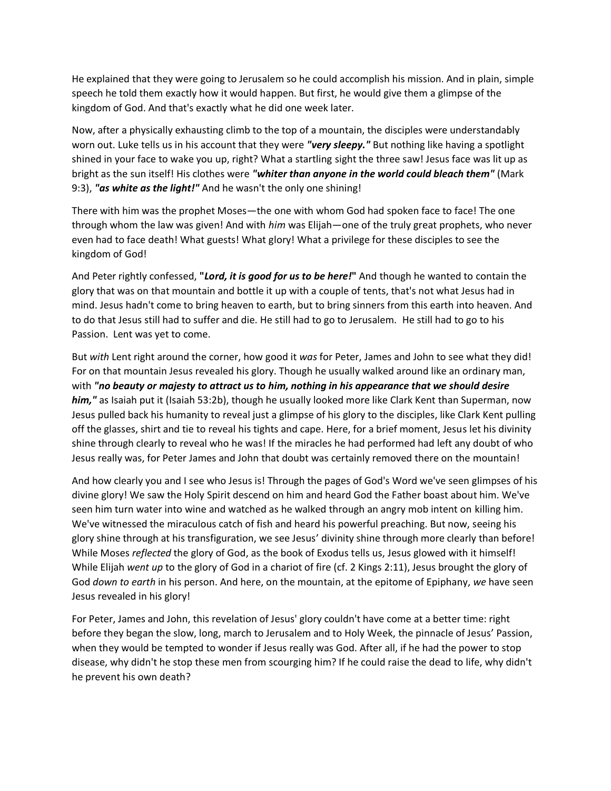He explained that they were going to Jerusalem so he could accomplish his mission. And in plain, simple speech he told them exactly how it would happen. But first, he would give them a glimpse of the kingdom of God. And that's exactly what he did one week later.

Now, after a physically exhausting climb to the top of a mountain, the disciples were understandably worn out. Luke tells us in his account that they were *"very sleepy."* But nothing like having a spotlight shined in your face to wake you up, right? What a startling sight the three saw! Jesus face was lit up as bright as the sun itself! His clothes were *"whiter than anyone in the world could bleach them"* (Mark 9:3), *"as white as the light!"* And he wasn't the only one shining!

There with him was the prophet Moses—the one with whom God had spoken face to face! The one through whom the law was given! And with *him* was Elijah—one of the truly great prophets, who never even had to face death! What guests! What glory! What a privilege for these disciples to see the kingdom of God!

And Peter rightly confessed, **"***Lord, it is good for us to be here!***"** And though he wanted to contain the glory that was on that mountain and bottle it up with a couple of tents, that's not what Jesus had in mind. Jesus hadn't come to bring heaven to earth, but to bring sinners from this earth into heaven. And to do that Jesus still had to suffer and die. He still had to go to Jerusalem. He still had to go to his Passion. Lent was yet to come.

But *with* Lent right around the corner, how good it *was* for Peter, James and John to see what they did! For on that mountain Jesus revealed his glory. Though he usually walked around like an ordinary man, with *"no beauty or majesty to attract us to him, nothing in his appearance that we should desire him,"* as Isaiah put it (Isaiah 53:2b), though he usually looked more like Clark Kent than Superman, now Jesus pulled back his humanity to reveal just a glimpse of his glory to the disciples, like Clark Kent pulling off the glasses, shirt and tie to reveal his tights and cape. Here, for a brief moment, Jesus let his divinity shine through clearly to reveal who he was! If the miracles he had performed had left any doubt of who Jesus really was, for Peter James and John that doubt was certainly removed there on the mountain!

And how clearly you and I see who Jesus is! Through the pages of God's Word we've seen glimpses of his divine glory! We saw the Holy Spirit descend on him and heard God the Father boast about him. We've seen him turn water into wine and watched as he walked through an angry mob intent on killing him. We've witnessed the miraculous catch of fish and heard his powerful preaching. But now, seeing his glory shine through at his transfiguration, we see Jesus' divinity shine through more clearly than before! While Moses *reflected* the glory of God, as the book of Exodus tells us, Jesus glowed with it himself! While Elijah *went up* to the glory of God in a chariot of fire (cf. 2 Kings 2:11), Jesus brought the glory of God *down to earth* in his person. And here, on the mountain, at the epitome of Epiphany, *we* have seen Jesus revealed in his glory!

For Peter, James and John, this revelation of Jesus' glory couldn't have come at a better time: right before they began the slow, long, march to Jerusalem and to Holy Week, the pinnacle of Jesus' Passion, when they would be tempted to wonder if Jesus really was God. After all, if he had the power to stop disease, why didn't he stop these men from scourging him? If he could raise the dead to life, why didn't he prevent his own death?